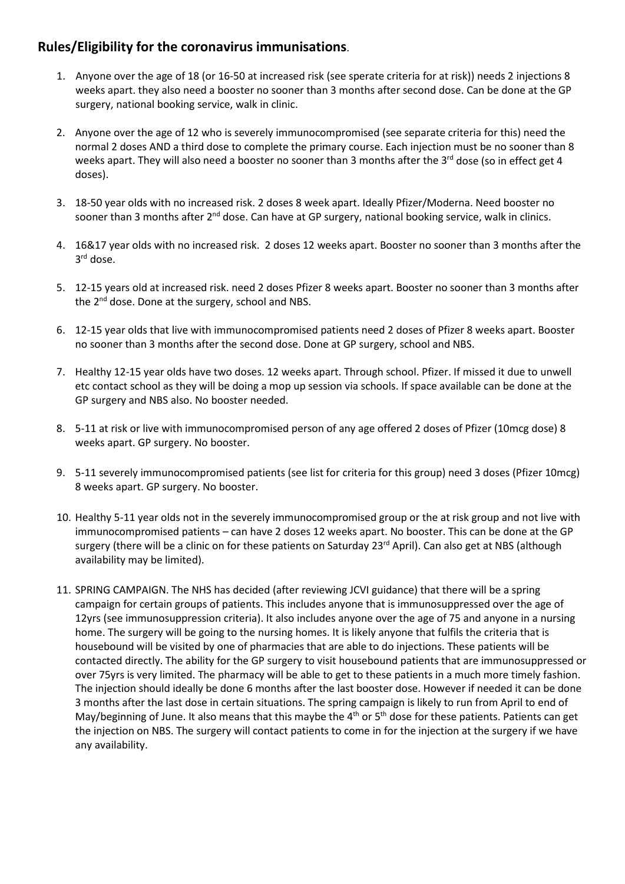## **Rules/Eligibility for the coronavirus immunisations**.

- 1. Anyone over the age of 18 (or 16-50 at increased risk (see sperate criteria for at risk)) needs 2 injections 8 weeks apart. they also need a booster no sooner than 3 months after second dose. Can be done at the GP surgery, national booking service, walk in clinic.
- 2. Anyone over the age of 12 who is severely immunocompromised (see separate criteria for this) need the normal 2 doses AND a third dose to complete the primary course. Each injection must be no sooner than 8 weeks apart. They will also need a booster no sooner than 3 months after the  $3<sup>rd</sup>$  dose (so in effect get 4 doses).
- 3. 18-50 year olds with no increased risk. 2 doses 8 week apart. Ideally Pfizer/Moderna. Need booster no sooner than 3 months after 2<sup>nd</sup> dose. Can have at GP surgery, national booking service, walk in clinics.
- 4. 16&17 year olds with no increased risk. 2 doses 12 weeks apart. Booster no sooner than 3 months after the 3<sup>rd</sup> dose.
- 5. 12-15 years old at increased risk. need 2 doses Pfizer 8 weeks apart. Booster no sooner than 3 months after the 2<sup>nd</sup> dose. Done at the surgery, school and NBS.
- 6. 12-15 year olds that live with immunocompromised patients need 2 doses of Pfizer 8 weeks apart. Booster no sooner than 3 months after the second dose. Done at GP surgery, school and NBS.
- 7. Healthy 12-15 year olds have two doses. 12 weeks apart. Through school. Pfizer. If missed it due to unwell etc contact school as they will be doing a mop up session via schools. If space available can be done at the GP surgery and NBS also. No booster needed.
- 8. 5-11 at risk or live with immunocompromised person of any age offered 2 doses of Pfizer (10mcg dose) 8 weeks apart. GP surgery. No booster.
- 9. 5-11 severely immunocompromised patients (see list for criteria for this group) need 3 doses (Pfizer 10mcg) 8 weeks apart. GP surgery. No booster.
- 10. Healthy 5-11 year olds not in the severely immunocompromised group or the at risk group and not live with immunocompromised patients – can have 2 doses 12 weeks apart. No booster. This can be done at the GP surgery (there will be a clinic on for these patients on Saturday  $23<sup>rd</sup>$  April). Can also get at NBS (although availability may be limited).
- 11. SPRING CAMPAIGN. The NHS has decided (after reviewing JCVI guidance) that there will be a spring campaign for certain groups of patients. This includes anyone that is immunosuppressed over the age of 12yrs (see immunosuppression criteria). It also includes anyone over the age of 75 and anyone in a nursing home. The surgery will be going to the nursing homes. It is likely anyone that fulfils the criteria that is housebound will be visited by one of pharmacies that are able to do injections. These patients will be contacted directly. The ability for the GP surgery to visit housebound patients that are immunosuppressed or over 75yrs is very limited. The pharmacy will be able to get to these patients in a much more timely fashion. The injection should ideally be done 6 months after the last booster dose. However if needed it can be done 3 months after the last dose in certain situations. The spring campaign is likely to run from April to end of May/beginning of June. It also means that this maybe the 4<sup>th</sup> or 5<sup>th</sup> dose for these patients. Patients can get the injection on NBS. The surgery will contact patients to come in for the injection at the surgery if we have any availability.